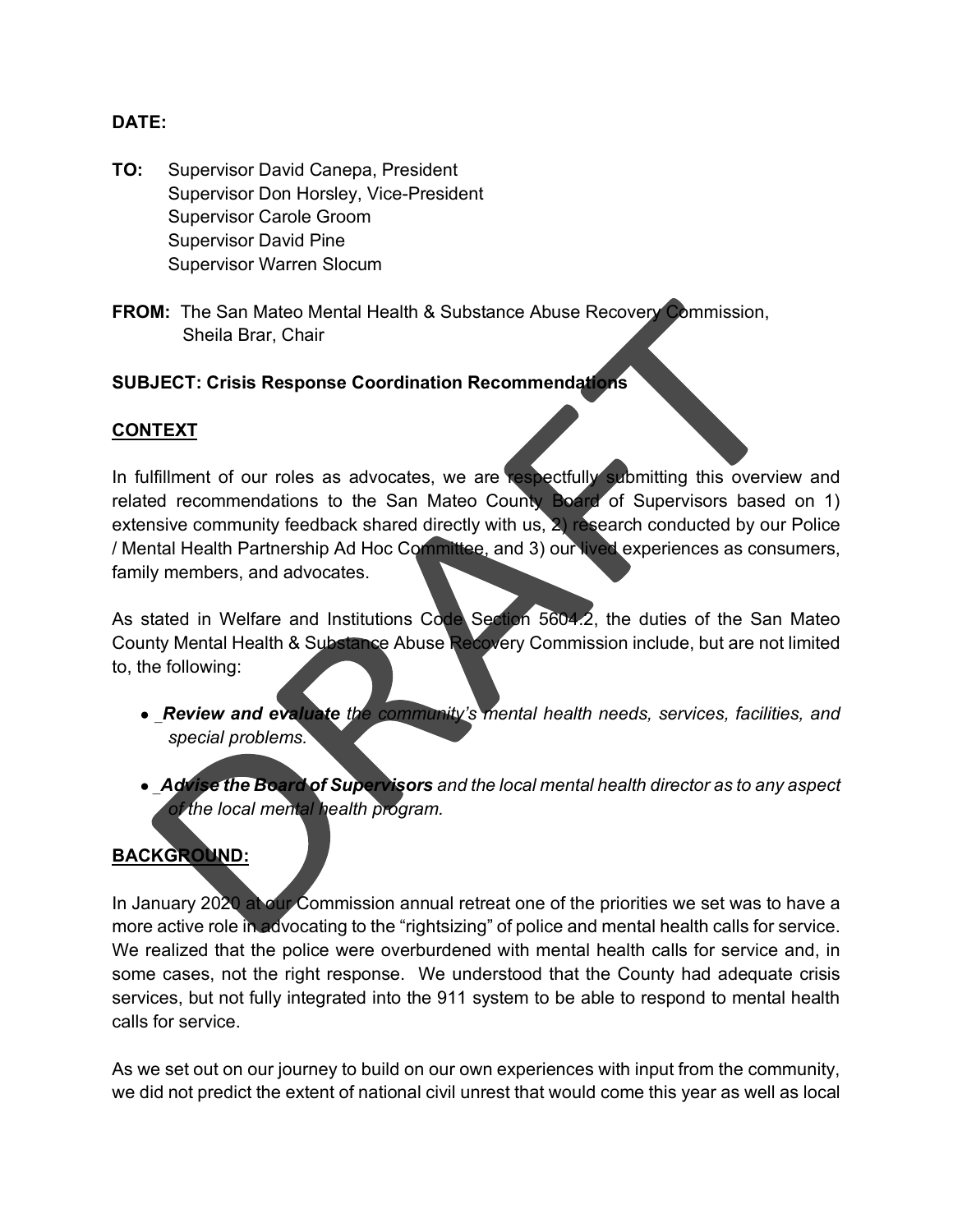#### **DATE:**

- **TO:** Supervisor David Canepa, President Supervisor Don Horsley, Vice-President Supervisor Carole Groom Supervisor David Pine Supervisor Warren Slocum
- **FROM:** The San Mateo Mental Health & Substance Abuse Recovery Commission, Sheila Brar, Chair

### **SUBJECT: Crisis Response Coordination Recommendations**

#### **CONTEXT**

In fulfillment of our roles as advocates, we are respectfully submitting this overview and related recommendations to the San Mateo County Board of Supervisors based on 1) extensive community feedback shared directly with us,  $\Sigma$ ) research conducted by our Police / Mental Health Partnership Ad Hoc Committee, and 3) our lived experiences as consumers, family members, and advocates.

As stated in Welfare and Institutions Code Section 5604.2, the duties of the San Mateo County Mental Health & Substance Abuse Recovery Commission include, but are not limited to, the following:

- \_*Review and evaluate the community's mental health needs, services, facilities, and special problems.*
- \_*Advise the Board of Supervisors and the local mental health director as to any aspect of the local mental health program.*

# **BACKGROUND:**

In January 2020 at our Commission annual retreat one of the priorities we set was to have a more active role in advocating to the "rightsizing" of police and mental health calls for service. We realized that the police were overburdened with mental health calls for service and, in some cases, not the right response. We understood that the County had adequate crisis services, but not fully integrated into the 911 system to be able to respond to mental health calls for service.

As we set out on our journey to build on our own experiences with input from the community, we did not predict the extent of national civil unrest that would come this year as well as local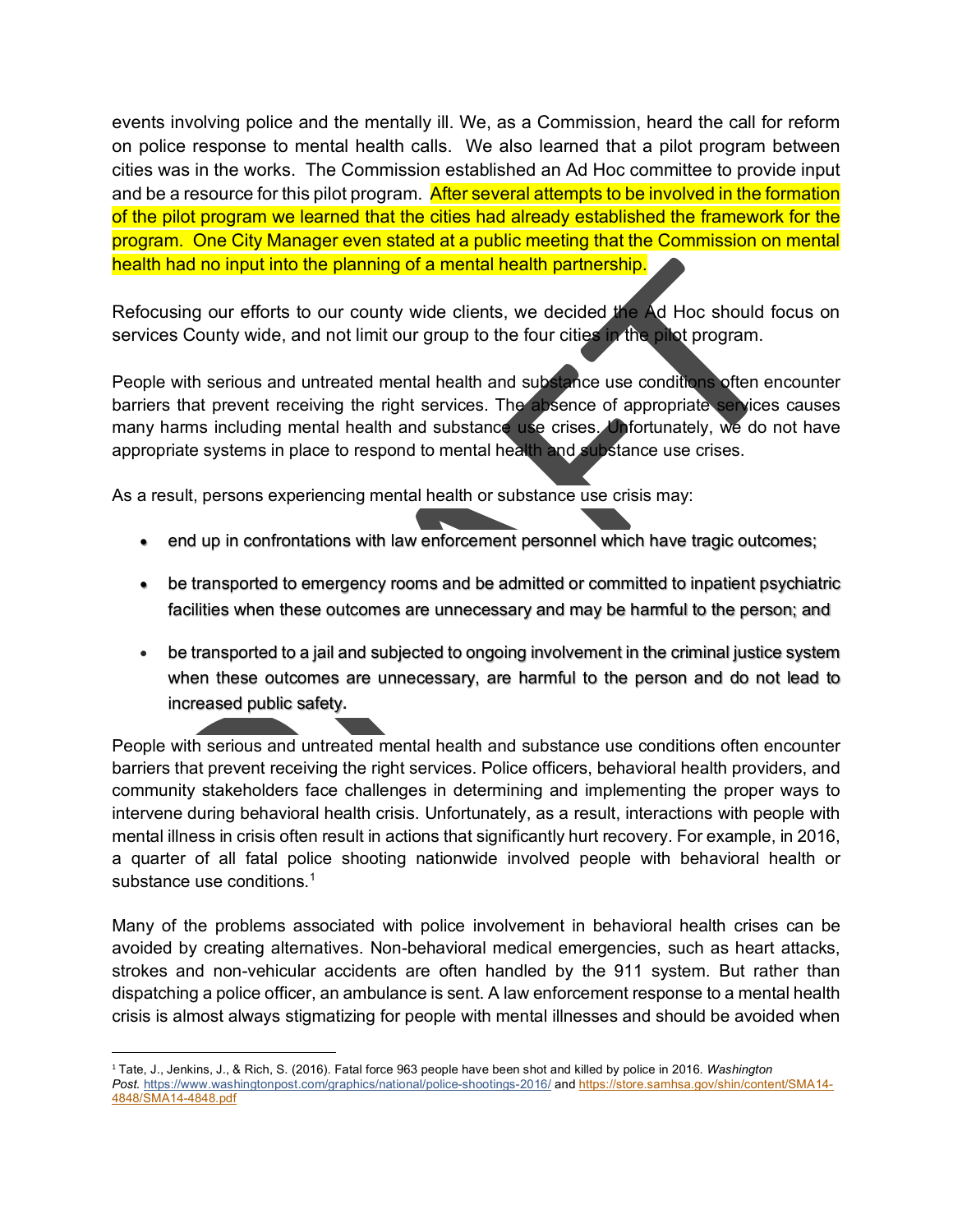events involving police and the mentally ill. We, as a Commission, heard the call for reform on police response to mental health calls. We also learned that a pilot program between cities was in the works. The Commission established an Ad Hoc committee to provide input and be a resource for this pilot program. After several attempts to be involved in the formation of the pilot program we learned that the cities had already established the framework for the program. One City Manager even stated at a public meeting that the Commission on mental health had no input into the planning of a mental health partnership.

Refocusing our efforts to our county wide clients, we decided the Ad Hoc should focus on services County wide, and not limit our group to the four cities in the pilot program.

People with serious and untreated mental health and substance use conditions often encounter barriers that prevent receiving the right services. The absence of appropriate services causes many harms including mental health and substance use crises. Unfortunately, we do not have appropriate systems in place to respond to mental health and substance use crises.

As a result, persons experiencing mental health or substance use crisis may:

- end up in confrontations with law enforcement personnel which have tragic outcomes;
- be transported to emergency rooms and be admitted or committed to inpatient psychiatric facilities when these outcomes are unnecessary and may be harmful to the person; and
- be transported to a jail and subjected to ongoing involvement in the criminal justice system when these outcomes are unnecessary, are harmful to the person and do not lead to increased public safety**.**

People with serious and untreated mental health and substance use conditions often encounter barriers that prevent receiving the right services. Police officers, behavioral health providers, and community stakeholders face challenges in determining and implementing the proper ways to intervene during behavioral health crisis. Unfortunately, as a result, interactions with people with mental illness in crisis often result in actions that significantly hurt recovery. For example, in 2016, a quarter of all fatal police shooting nationwide involved people with behavioral health or substance use conditions  $<sup>1</sup>$  $<sup>1</sup>$  $<sup>1</sup>$ </sup>

Many of the problems associated with police involvement in behavioral health crises can be avoided by creating alternatives. Non-behavioral medical emergencies, such as heart attacks, strokes and non-vehicular accidents are often handled by the 911 system. But rather than dispatching a police officer, an ambulance is sent. A law enforcement response to a mental health crisis is almost always stigmatizing for people with mental illnesses and should be avoided when

<span id="page-1-0"></span><sup>1</sup> Tate, J., Jenkins, J., & Rich, S. (2016). Fatal force 963 people have been shot and killed by police in 2016. *Washington Post.* <https://www.washingtonpost.com/graphics/national/police-shootings-2016/> and [https://store.samhsa.gov/shin/content/SMA14-](https://store.samhsa.gov/shin/content/SMA14-4848/SMA14-4848.pdf) [4848/SMA14-4848.pdf](https://store.samhsa.gov/shin/content/SMA14-4848/SMA14-4848.pdf)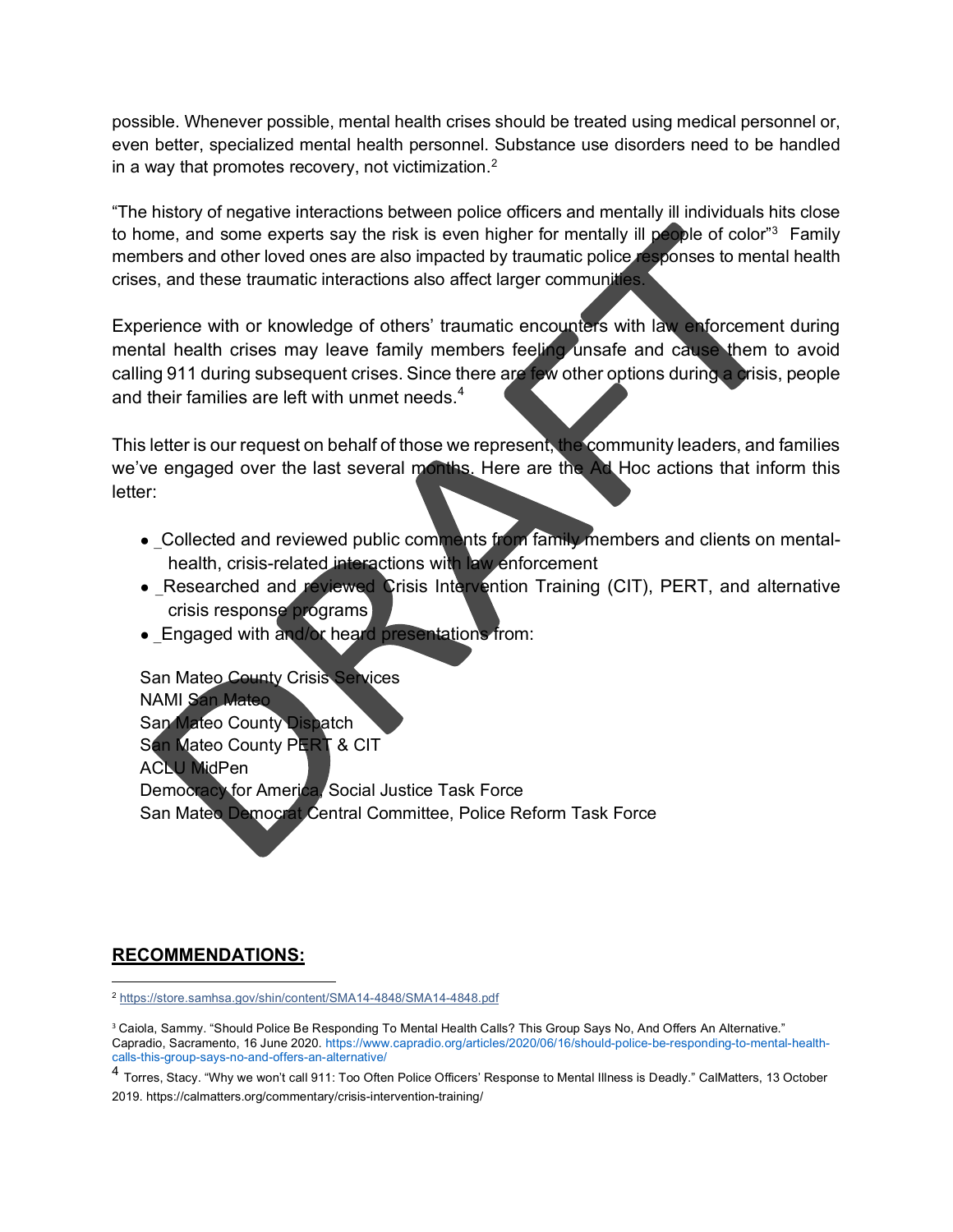possible. Whenever possible, mental health crises should be treated using medical personnel or, even better, specialized mental health personnel. Substance use disorders need to be handled in a way that promotes recovery, not victimization. $2$ 

"The history of negative interactions between police officers and mentally ill individuals hits close to home, and some experts say the risk is even higher for mentally ill people of color"<sup>[3](#page-2-1)</sup> Family members and other loved ones are also impacted by traumatic police responses to mental health crises, and these traumatic interactions also affect larger communities.

Experience with or knowledge of others' traumatic encounters with law enforcement during mental health crises may leave family members feeling unsafe and cause them to avoid calling 911 during subsequent crises. Since there are few other options during a crisis, people and their families are left with unmet needs. $4$ 

This letter is our request on behalf of those we represent, the community leaders, and families we've engaged over the last several months. Here are the Ad Hoc actions that inform this letter:

- Collected and reviewed public comments from family members and clients on mentalhealth, crisis-related interactions with law enforcement
- Researched and reviewed Crisis Intervention Training (CIT), PERT, and alternative crisis response programs
- \_Engaged with and/or heard presentations from:

San Mateo County Crisis Services NAMI San Mateo San Mateo County Dispatch San Mateo County PERT & CIT **ACLU MidPen** Democracy for America, Social Justice Task Force San Mateo Democrat Central Committee, Police Reform Task Force

# **RECOMMENDATIONS:**

<span id="page-2-0"></span><sup>2</sup> <https://store.samhsa.gov/shin/content/SMA14-4848/SMA14-4848.pdf>

<span id="page-2-1"></span><sup>&</sup>lt;sup>3</sup> Caiola, Sammy. "Should Police Be Responding To Mental Health Calls? This Group Says No, And Offers An Alternative." Capradio, Sacramento, 16 June 2020. https://www.capradio.org/articles/2020/06/16/should-police-be-responding-to-mental-healthcalls-this-group-says-no-and-offers-an-alternative/

<span id="page-2-2"></span><sup>4</sup> Torres, Stacy. "Why we won't call 911: Too Often Police Officers' Response to Mental Illness is Deadly." CalMatters, 13 October 2019. https://calmatters.org/commentary/crisis-intervention-training/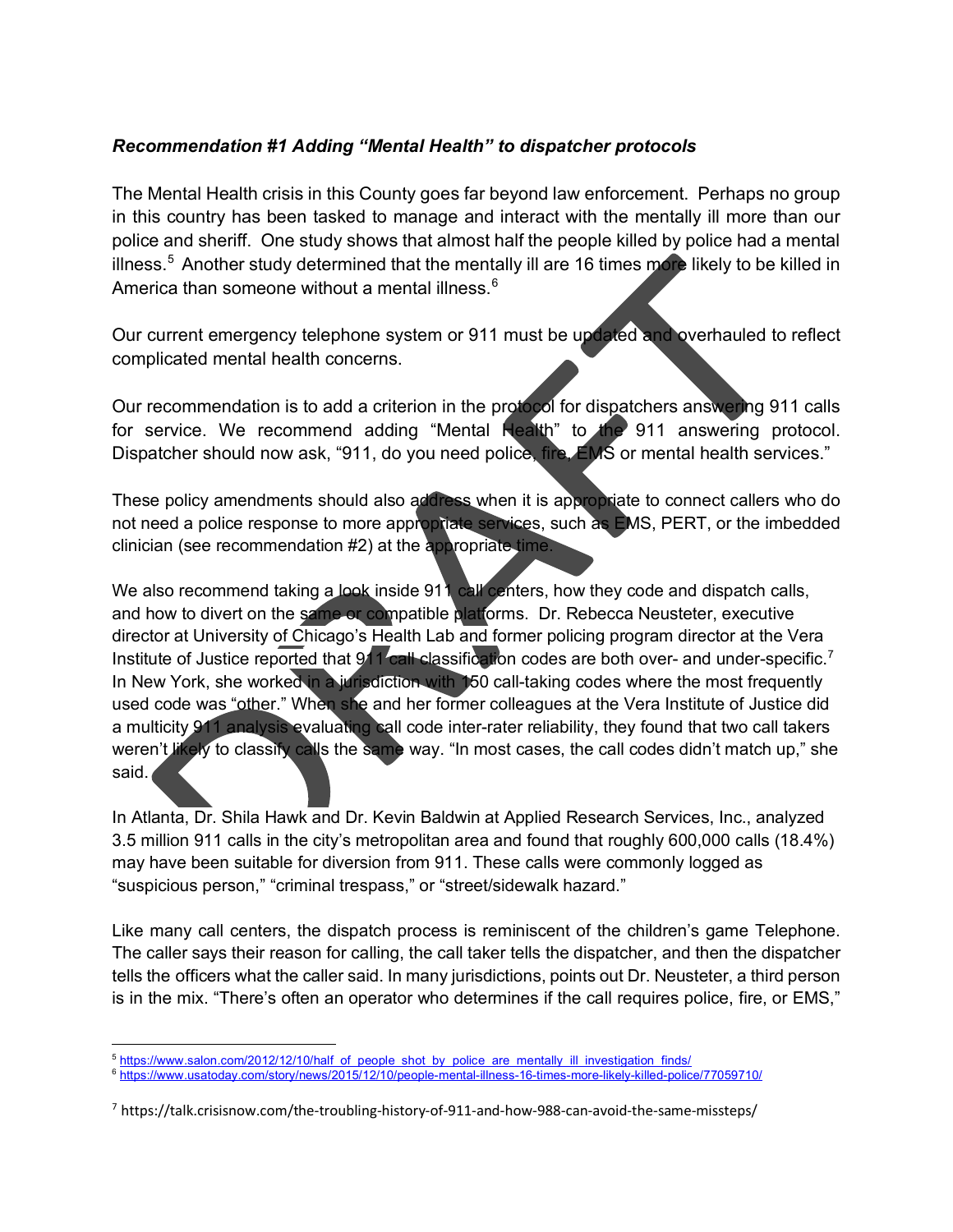## *Recommendation #1 Adding "Mental Health" to dispatcher protocols*

The Mental Health crisis in this County goes far beyond law enforcement. Perhaps no group in this country has been tasked to manage and interact with the mentally ill more than our police and sheriff. One study shows that almost half the people killed by police had a mental illness.<sup>[5](#page-3-0)</sup> Another study determined that the mentally ill are 16 times more likely to be killed in America than someone without a mental illness  $6$ 

Our current emergency telephone system or 911 must be updated and overhauled to reflect complicated mental health concerns.

Our recommendation is to add a criterion in the protocol for dispatchers answering 911 calls for service. We recommend adding "Mental Health" to the 911 answering protocol. Dispatcher should now ask, "911, do you need police, fire, EMS or mental health services."

These policy amendments should also address when it is appropriate to connect callers who do not need a police response to more appropriate services, such as EMS, PERT, or the imbedded clinician (see recommendation #2) at the appropriate time.

We also recommend taking a look inside 911 call centers, how they code and dispatch calls, and how to divert on the same or compatible platforms. Dr. Rebecca Neusteter, executive director at University of Chicago's Health Lab and former policing program director at the Vera Institute of Justice reported that 911 call classification codes are both over- and under-specific.<sup>[7](#page-3-2)</sup> In New York, she worked in a jurisdiction with 150 call-taking codes where the most frequently used code was "other." When she and her former colleagues at the Vera Institute of Justice did a multicity 911 analysis evaluating call code inter-rater reliability, they found that two call takers weren't likely to classify calls the same way. "In most cases, the call codes didn't match up," she said.

In Atlanta, Dr. Shila Hawk and Dr. Kevin Baldwin at Applied Research Services, Inc., analyzed 3.5 million 911 calls in the city's metropolitan area and found that roughly 600,000 calls (18.4%) may have been suitable for diversion from 911. These calls were commonly logged as "suspicious person," "criminal trespass," or "street/sidewalk hazard."

Like many call centers, the dispatch process is reminiscent of the children's game Telephone. The caller says their reason for calling, the call taker tells the dispatcher, and then the dispatcher tells the officers what the caller said. In many jurisdictions, points out Dr. Neusteter, a third person is in the mix. "There's often an operator who determines if the call requires police, fire, or EMS,"

<span id="page-3-0"></span><sup>5</sup> [https://www.salon.com/2012/12/10/half\\_of\\_people\\_shot\\_by\\_police\\_are\\_mentally\\_ill\\_investigation\\_finds/](https://www.salon.com/2012/12/10/half_of_people_shot_by_police_are_mentally_ill_investigation_finds/)

<span id="page-3-1"></span><sup>6</sup> <https://www.usatoday.com/story/news/2015/12/10/people-mental-illness-16-times-more-likely-killed-police/77059710/>

<span id="page-3-2"></span><sup>7</sup> https://talk.crisisnow.com/the-troubling-history-of-911-and-how-988-can-avoid-the-same-missteps/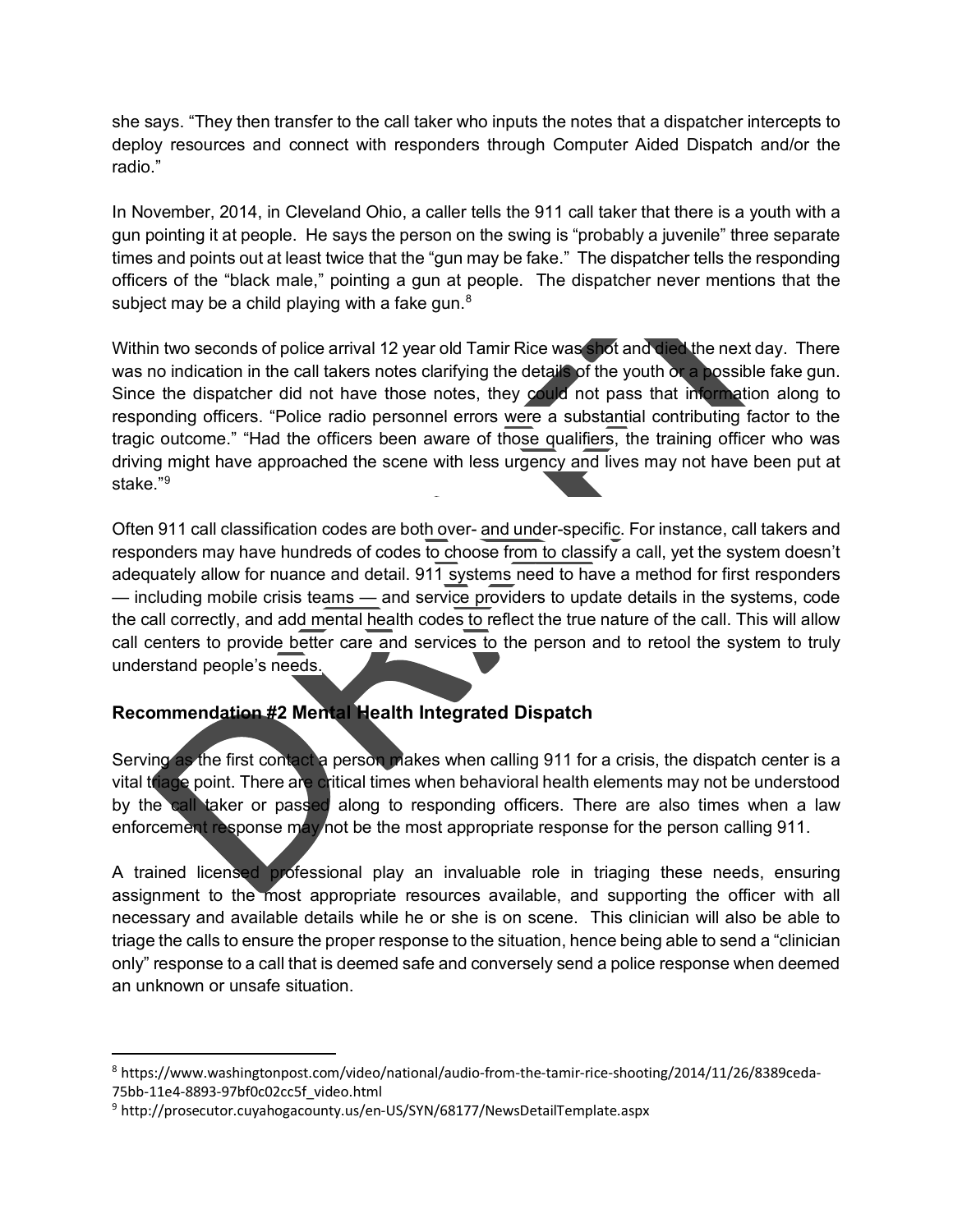she says. "They then transfer to the call taker who inputs the notes that a dispatcher intercepts to deploy resources and connect with responders through Computer Aided Dispatch and/or the radio."

In November, 2014, in Cleveland Ohio, a caller tells the 911 call taker that there is a youth with a gun pointing it at people. He says the person on the swing is "probably a juvenile" three separate times and points out at least twice that the "gun may be fake." The dispatcher tells the responding officers of the "black male," pointing a gun at people. The dispatcher never mentions that the subject may be a child playing with a fake gun. $8<sup>8</sup>$  $8<sup>8</sup>$ 

Within two seconds of police arrival 12 year old Tamir Rice was shot and died the next day. There was no indication in the call takers notes clarifying the details of the youth or a possible fake gun. Since the dispatcher did not have those notes, they could not pass that information along to responding officers. "Police radio personnel errors were a substantial contributing factor to the tragic outcome." "Had the officers been aware of those qualifiers, the training officer who was driving might have approached the scene with less urgency and lives may not have been put at stake."[9](#page-4-1)

Often 911 call classification codes are both over- and under-specific. For instance, call takers and responders may have hundreds of codes to choose from to classify a call, yet the system doesn't adequately allow for nuance and detail. 911 systems need to have a method for first responders — including mobile crisis teams — and service providers to update details in the systems, code the call correctly, and add mental health codes to reflect the true nature of the call. This will allow call centers to provide better care and services to the person and to retool the system to truly understand people's needs.

# **Recommendation #2 Mental Health Integrated Dispatch**

Serving as the first contact a person makes when calling 911 for a crisis, the dispatch center is a vital triage point. There are critical times when behavioral health elements may not be understood by the call taker or passed along to responding officers. There are also times when a law enforcement response may not be the most appropriate response for the person calling 911.

A trained licensed professional play an invaluable role in triaging these needs, ensuring assignment to the most appropriate resources available, and supporting the officer with all necessary and available details while he or she is on scene. This clinician will also be able to triage the calls to ensure the proper response to the situation, hence being able to send a "clinician only" response to a call that is deemed safe and conversely send a police response when deemed an unknown or unsafe situation.

<span id="page-4-0"></span><sup>8</sup> https://www.washingtonpost.com/video/national/audio-from-the-tamir-rice-shooting/2014/11/26/8389ceda-75bb-11e4-8893-97bf0c02cc5f\_video.html

<span id="page-4-1"></span><sup>9</sup> http://prosecutor.cuyahogacounty.us/en-US/SYN/68177/NewsDetailTemplate.aspx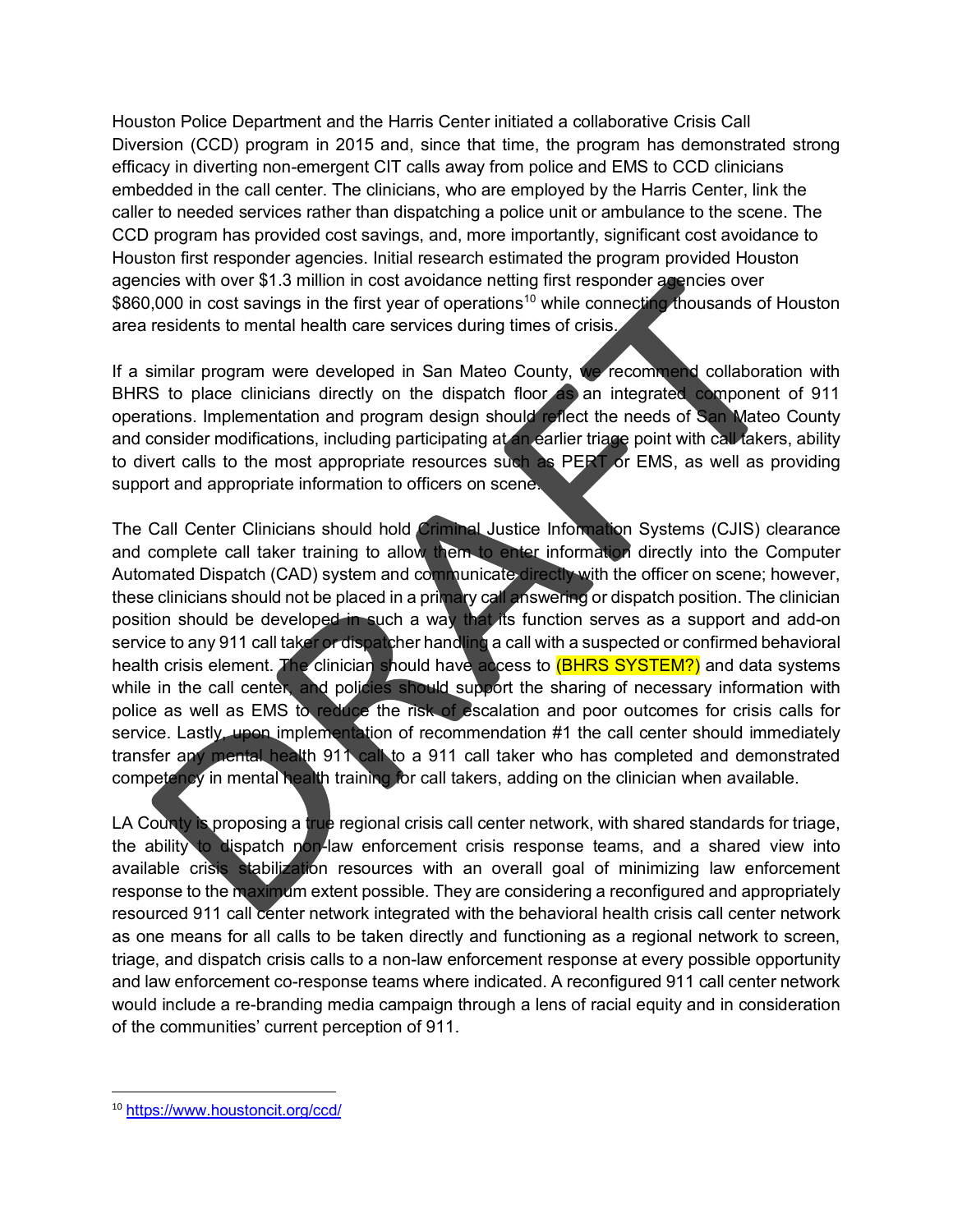Houston Police Department and the Harris Center initiated a collaborative Crisis Call Diversion (CCD) program in 2015 and, since that time, the program has demonstrated strong efficacy in diverting non-emergent CIT calls away from police and EMS to CCD clinicians embedded in the call center. The clinicians, who are employed by the Harris Center, link the caller to needed services rather than dispatching a police unit or ambulance to the scene. The CCD program has provided cost savings, and, more importantly, significant cost avoidance to Houston first responder agencies. Initial research estimated the program provided Houston agencies with over \$1.3 million in cost avoidance netting first responder agencies over \$860,000 in cost savings in the first year of operations<sup>[10](#page-5-0)</sup> while connecting thousands of Houston area residents to mental health care services during times of crisis.

If a similar program were developed in San Mateo County, we recommend collaboration with BHRS to place clinicians directly on the dispatch floor as an integrated component of 911 operations. Implementation and program design should reflect the needs of San Mateo County and consider modifications, including participating at an earlier triage point with call takers, ability to divert calls to the most appropriate resources such as PERT or EMS, as well as providing support and appropriate information to officers on scene.

The Call Center Clinicians should hold Criminal Justice Information Systems (CJIS) clearance and complete call taker training to allow them to enter information directly into the Computer Automated Dispatch (CAD) system and communicate directly with the officer on scene; however, these clinicians should not be placed in a primary call answering or dispatch position. The clinician position should be developed in such a way that its function serves as a support and add-on service to any 911 call taker or dispatcher handling a call with a suspected or confirmed behavioral health crisis element. The clinician should have access to <mark>(BHRS SYSTEM?)</mark> and data systems while in the call center, and policies should support the sharing of necessary information with police as well as EMS to reduce the risk of escalation and poor outcomes for crisis calls for service. Lastly, upon implementation of recommendation #1 the call center should immediately transfer any mental health 911 call to a 911 call taker who has completed and demonstrated competency in mental health training for call takers, adding on the clinician when available.

LA County is proposing a true regional crisis call center network, with shared standards for triage, the ability to dispatch non-law enforcement crisis response teams, and a shared view into available crisis stabilization resources with an overall goal of minimizing law enforcement response to the maximum extent possible. They are considering a reconfigured and appropriately resourced 911 call center network integrated with the behavioral health crisis call center network as one means for all calls to be taken directly and functioning as a regional network to screen, triage, and dispatch crisis calls to a non-law enforcement response at every possible opportunity and law enforcement co-response teams where indicated. A reconfigured 911 call center network would include a re-branding media campaign through a lens of racial equity and in consideration of the communities' current perception of 911.

<span id="page-5-0"></span><sup>10</sup> <https://www.houstoncit.org/ccd/>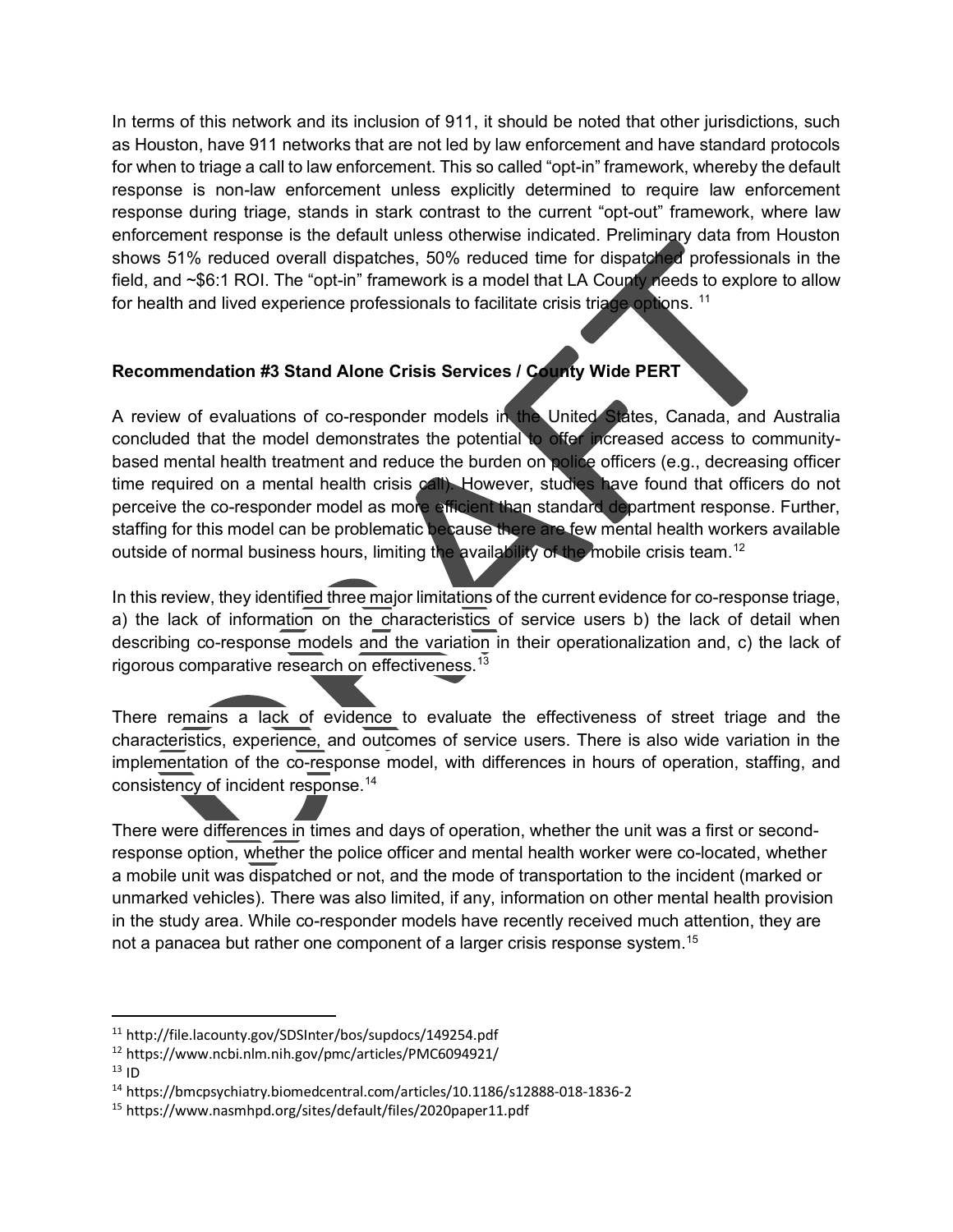In terms of this network and its inclusion of 911, it should be noted that other jurisdictions, such as Houston, have 911 networks that are not led by law enforcement and have standard protocols for when to triage a call to law enforcement. This so called "opt-in" framework, whereby the default response is non-law enforcement unless explicitly determined to require law enforcement response during triage, stands in stark contrast to the current "opt-out" framework, where law enforcement response is the default unless otherwise indicated. Preliminary data from Houston shows 51% reduced overall dispatches, 50% reduced time for dispatched professionals in the field, and ~\$6:1 ROI. The "opt-in" framework is a model that LA County needs to explore to allow for health and lived experience professionals to facilitate crisis triage options.<sup>[11](#page-6-0)</sup>

# **Recommendation #3 Stand Alone Crisis Services / County Wide PERT**

A review of evaluations of co-responder models in the United States, Canada, and Australia concluded that the model demonstrates the potential to offer increased access to communitybased mental health treatment and reduce the burden on police officers (e.g., decreasing officer time required on a mental health crisis call). However, studies have found that officers do not perceive the co-responder model as more efficient than standard department response. Further, staffing for this model can be problematic because there are few mental health workers available outside of normal business hours, limiting the availability of the mobile crisis team.<sup>[12](#page-6-1)</sup>

In this review, they identified three major limitations of the current evidence for co-response triage, a) the lack of information on the characteristics of service users b) the lack of detail when describing co-response models and the variation in their operationalization and, c) the lack of rigorous comparative research on effectiveness.[13](#page-6-2)

There remains a lack of evidence to evaluate the effectiveness of street triage and the characteristics, experience, and outcomes of service users. There is also wide variation in the implementation of the co-response model, with differences in hours of operation, staffing, and consistency of incident response.<sup>14</sup>

There were differences in times and days of operation, whether the unit was a first or secondresponse option, whether the police officer and mental health worker were co-located, whether a mobile unit was dispatched or not, and the mode of transportation to the incident (marked or unmarked vehicles). There was also limited, if any, information on other mental health provision in the study area. While co-responder models have recently received much attention, they are not a panacea but rather one component of a larger crisis response system.<sup>[15](#page-6-4)</sup>

<span id="page-6-2"></span> $13$  ID

<span id="page-6-0"></span><sup>11</sup> http://file.lacounty.gov/SDSInter/bos/supdocs/149254.pdf

<span id="page-6-1"></span><sup>12</sup> https://www.ncbi.nlm.nih.gov/pmc/articles/PMC6094921/

<span id="page-6-3"></span><sup>14</sup> https://bmcpsychiatry.biomedcentral.com/articles/10.1186/s12888-018-1836-2

<span id="page-6-4"></span><sup>15</sup> https://www.nasmhpd.org/sites/default/files/2020paper11.pdf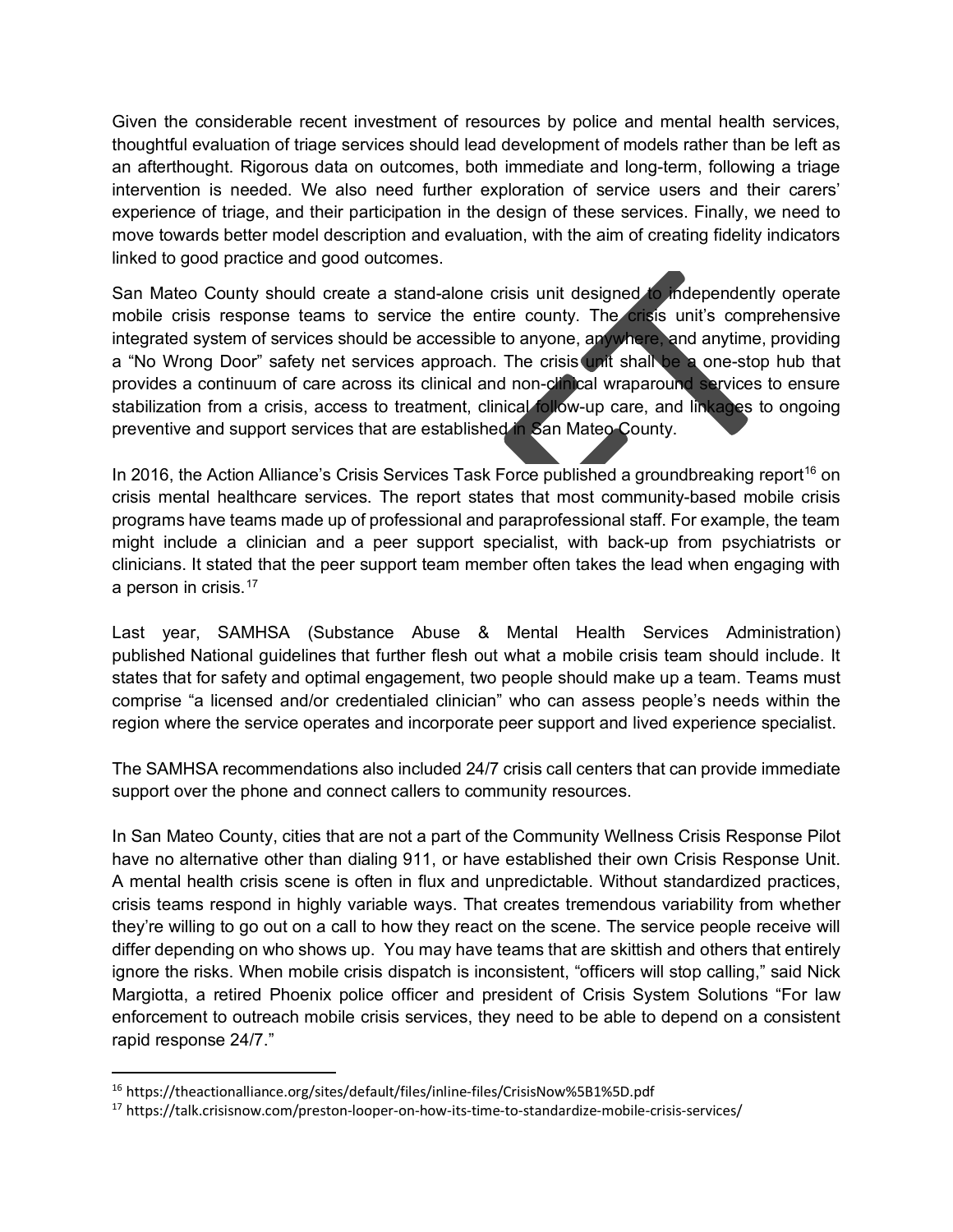Given the considerable recent investment of resources by police and mental health services, thoughtful evaluation of triage services should lead development of models rather than be left as an afterthought. Rigorous data on outcomes, both immediate and long-term, following a triage intervention is needed. We also need further exploration of service users and their carers' experience of triage, and their participation in the design of these services. Finally, we need to move towards better model description and evaluation, with the aim of creating fidelity indicators linked to good practice and good outcomes.

San Mateo County should create a stand-alone crisis unit designed to independently operate mobile crisis response teams to service the entire county. The crisis unit's comprehensive integrated system of services should be accessible to anyone, anywhere, and anytime, providing a "No Wrong Door" safety net services approach. The crisis unit shall be a one-stop hub that provides a continuum of care across its clinical and non-clinical wraparound services to ensure stabilization from a crisis, access to treatment, clinical follow-up care, and linkages to ongoing preventive and support services that are established in San Mateo County.

In 20[16](#page-7-0), the Action Alliance's Crisis Services Task Force published a groundbreaking report<sup>16</sup> on crisis mental healthcare services. The report states that most community-based mobile crisis programs have teams made up of professional and paraprofessional staff. For example, the team might include a clinician and a peer support specialist, with back-up from psychiatrists or clinicians. It stated that the peer support team member often takes the lead when engaging with a person in crisis. $17$ 

Last year, SAMHSA (Substance Abuse & Mental Health Services Administration) published National guidelines that further flesh out what a mobile crisis team should include. It states that for safety and optimal engagement, two people should make up a team. Teams must comprise "a licensed and/or credentialed clinician" who can assess people's needs within the region where the service operates and incorporate peer support and lived experience specialist.

The SAMHSA recommendations also included 24/7 crisis call centers that can provide immediate support over the phone and connect callers to community resources.

In San Mateo County, cities that are not a part of the Community Wellness Crisis Response Pilot have no alternative other than dialing 911, or have established their own Crisis Response Unit. A mental health crisis scene is often in flux and unpredictable. Without standardized practices, crisis teams respond in highly variable ways. That creates tremendous variability from whether they're willing to go out on a call to how they react on the scene. The service people receive will differ depending on who shows up. You may have teams that are skittish and others that entirely ignore the risks. When mobile crisis dispatch is inconsistent, "officers will stop calling," said Nick Margiotta, a retired Phoenix police officer and president of Crisis System Solutions "For law enforcement to outreach mobile crisis services, they need to be able to depend on a consistent rapid response 24/7."

<span id="page-7-0"></span><sup>16</sup> https://theactionalliance.org/sites/default/files/inline-files/CrisisNow%5B1%5D.pdf

<span id="page-7-1"></span><sup>17</sup> https://talk.crisisnow.com/preston-looper-on-how-its-time-to-standardize-mobile-crisis-services/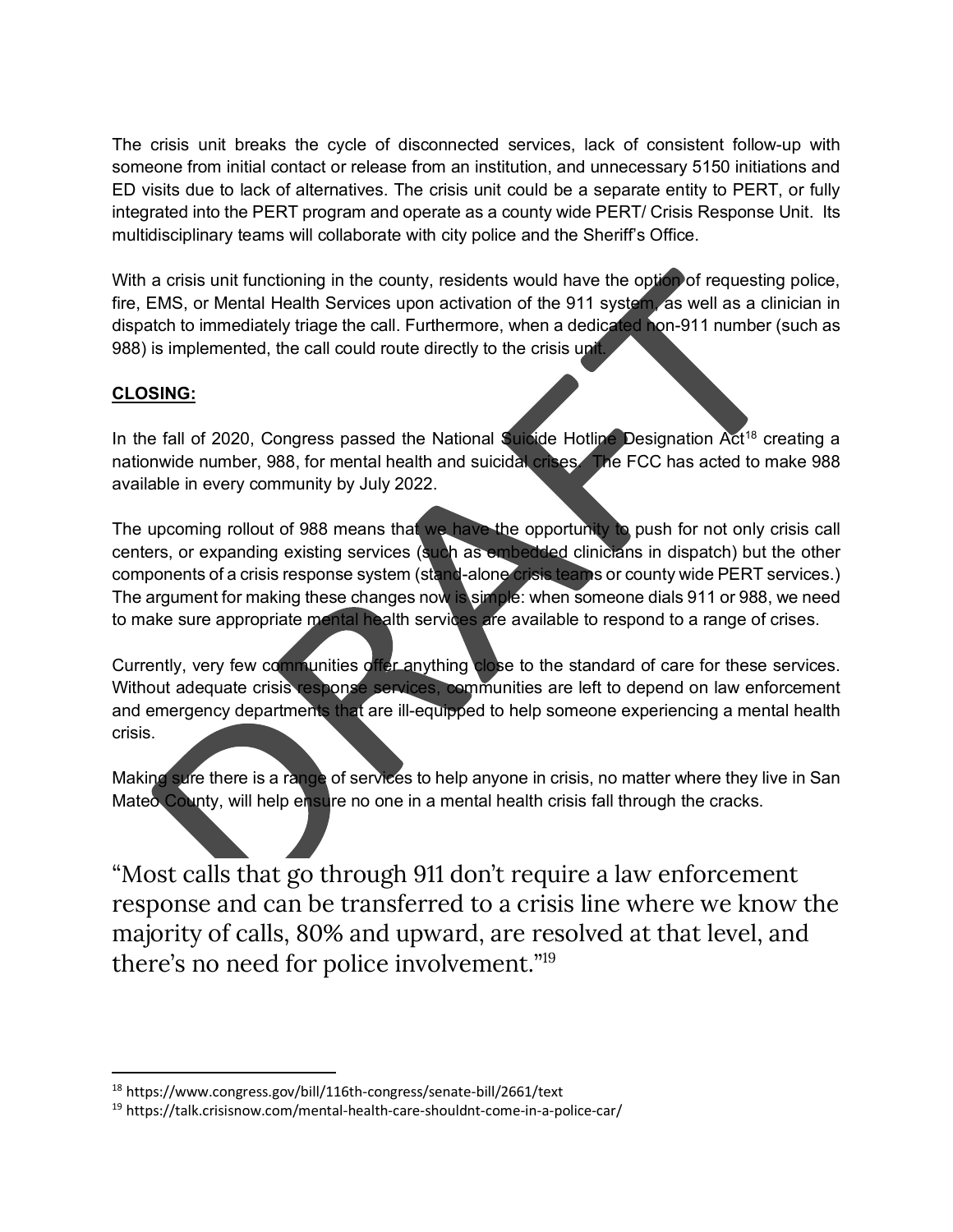The crisis unit breaks the cycle of disconnected services, lack of consistent follow-up with someone from initial contact or release from an institution, and unnecessary 5150 initiations and ED visits due to lack of alternatives. The crisis unit could be a separate entity to PERT, or fully integrated into the PERT program and operate as a county wide PERT/ Crisis Response Unit. Its multidisciplinary teams will collaborate with city police and the Sheriff's Office.

With a crisis unit functioning in the county, residents would have the option of requesting police, fire, EMS, or Mental Health Services upon activation of the 911 system, as well as a clinician in dispatch to immediately triage the call. Furthermore, when a dedicated hon-911 number (such as 988) is implemented, the call could route directly to the crisis unit.

# **CLOSING:**

In the fall of 2020, Congress passed the National Suicide Hotline Designation Act<sup>[18](#page-8-0)</sup> creating a nationwide number, 988, for mental health and suicidal crises. The FCC has acted to make 988 available in every community by July 2022.

The upcoming rollout of 988 means that we have the opportunity to push for not only crisis call centers, or expanding existing services (such as embedded clinicians in dispatch) but the other components of a crisis response system (stand-alone crisis teams or county wide PERT services.) The argument for making these changes now is simple: when someone dials 911 or 988, we need to make sure appropriate mental health services are available to respond to a range of crises.

Currently, very few communities offer anything close to the standard of care for these services. Without adequate crisis response services, communities are left to depend on law enforcement and emergency departments that are ill-equipped to help someone experiencing a mental health crisis.

Making sure there is a range of services to help anyone in crisis, no matter where they live in San Mateo County, will help ensure no one in a mental health crisis fall through the cracks.

"Most calls that go through 911 don't require a law enforcement response and can be transferred to a crisis line where we know the majority of calls, 80% and upward, are resolved at that level, and there's no need for police involvement."[19](#page-8-1)

<span id="page-8-0"></span><sup>18</sup> https://www.congress.gov/bill/116th-congress/senate-bill/2661/text

<span id="page-8-1"></span><sup>19</sup> https://talk.crisisnow.com/mental-health-care-shouldnt-come-in-a-police-car/